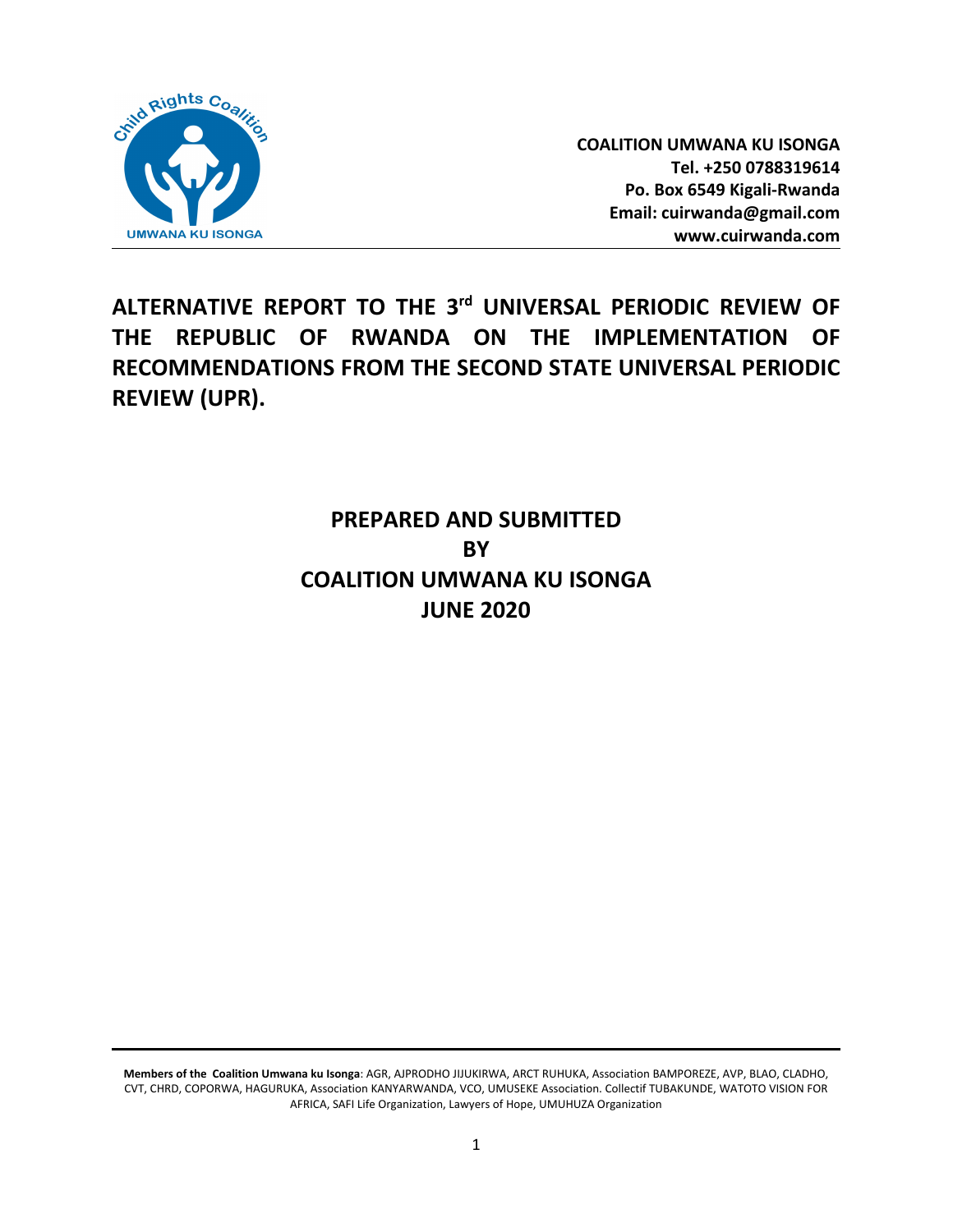

**COALITION UMWANA KU ISONGA Tel. +250 0788319614 Po. Box 6549 Kigali-Rwanda Email: cuirwanda@gmail.com www.cuirwanda.com**

**ALTERNATIVE REPORT TO THE 3rd UNIVERSAL PERIODIC REVIEW OF THE REPUBLIC OF RWANDA ON THE IMPLEMENTATION OF RECOMMENDATIONS FROM THE SECOND STATE UNIVERSAL PERIODIC REVIEW (UPR).**

# **PREPARED AND SUBMITTED BY COALITION UMWANA KU ISONGA JUNE 2020**

**Members of the Coalition Umwana ku Isonga**: AGR, AJPRODHO JIJUKIRWA, ARCT RUHUKA, Association BAMPOREZE, AVP, BLAO, CLADHO, CVT, CHRD, COPORWA, HAGURUKA, Association KANYARWANDA, VCO, UMUSEKE Association. Collectif TUBAKUNDE, WATOTO VISION FOR AFRICA, SAFI Life Organization, Lawyers of Hope, UMUHUZA Organization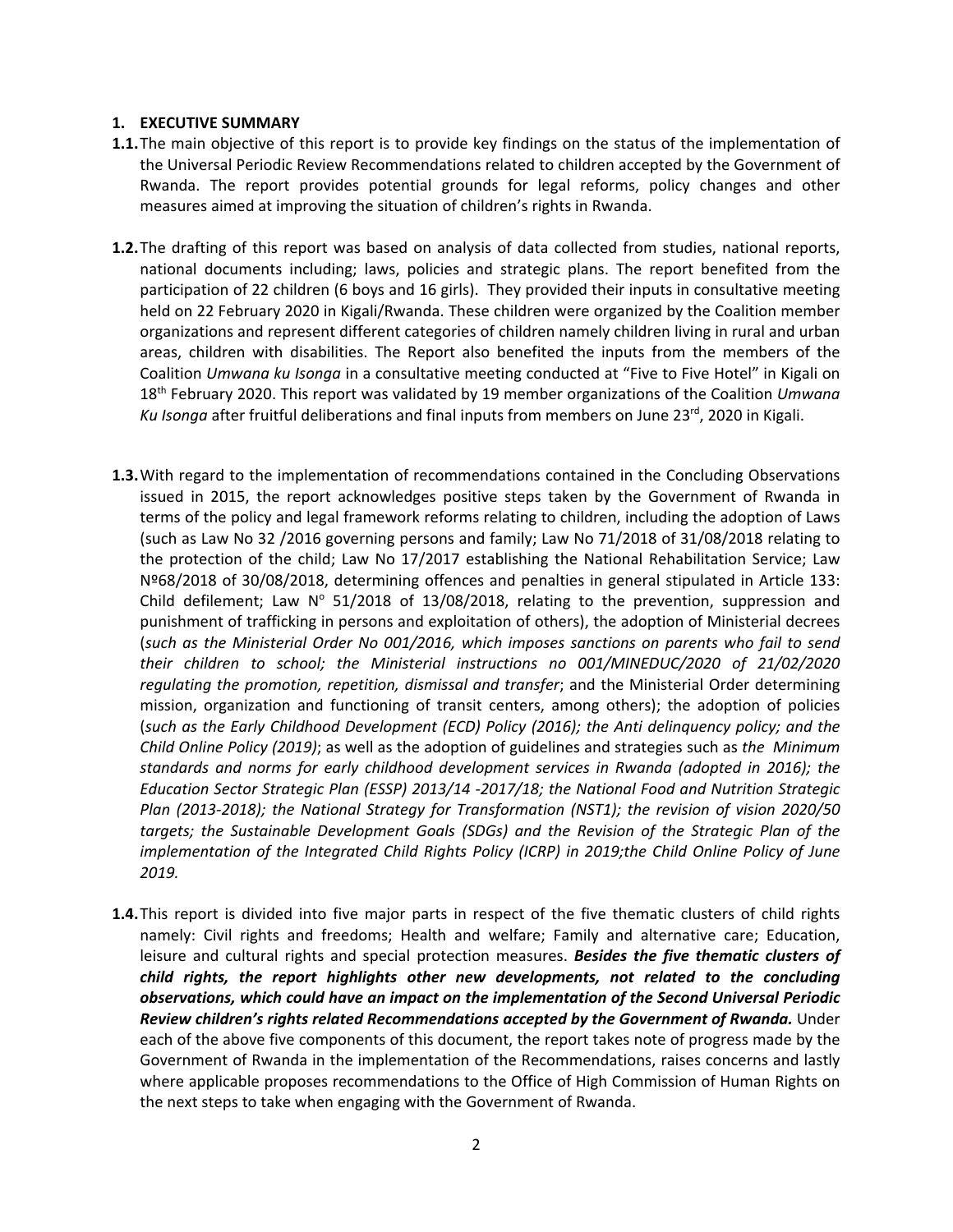#### **1. EXECUTIVE SUMMARY**

- **1.1.**The main objective of this report is to provide key findings on the status of the implementation of the Universal Periodic Review Recommendations related to children accepted by the Government of Rwanda. The report provides potential grounds for legal reforms, policy changes and other measures aimed at improving the situation of children'<sup>s</sup> rights in Rwanda.
- **1.2.**The drafting of this report was based on analysis of data collected from studies, national reports, national documents including; laws, policies and strategic plans. The report benefited from the participation of 22 children (6 boys and 16 girls). They provided their inputs in consultative meeting held on 22 February 2020 in Kigali/Rwanda. These children were organized by the Coalition member organizations and represent different categories of children namely children living in rural and urban areas, children with disabilities. The Report also benefited the inputs from the members of the Coalition *Umwana ku Isonga* in <sup>a</sup> consultative meeting conducted at "Five to Five Hotel" in Kigali on 18th February 2020. This report was validated by 19 member organizations of the Coalition *Umwana* Ku Isonga after fruitful deliberations and final inputs from members on June 23<sup>rd</sup>, 2020 in Kigali.
- **1.3.**With regard to the implementation of recommendations contained in the Concluding Observations issued in 2015, the report acknowledges positive steps taken by the Government of Rwanda in terms of the policy and legal framework reforms relating to children, including the adoption of Laws (such as Law No 32 /2016 governing persons and family; Law No 71/2018 of 31/08/2018 relating to the protection of the child; Law No 17/2017 establishing the National Rehabilitation Service; Law Nº68/2018 of 30/08/2018, determining offences and penalties in general stipulated in Article 133: Child defilement; Law  $N^{\circ}$  51/2018 of 13/08/2018, relating to the prevention, suppression and punishment of trafficking in persons and exploitation of others), the adoption of Ministerial decrees (*such as the Ministerial Order No 001/2016, which imposes sanctions on parents who fail to send their children to school; the Ministerial instructions no [001/MINEDUC/2020](https://mineduc.gov.rw/fileadmin/Documents/Ministrial%20Order/Ministerial_Instructions_Regulating_Promotion_Repetition_Dismissal_and_Transfer_of_Pupils___Students.pdf) of 21/02/2020 regulating the [promotion,](https://mineduc.gov.rw/fileadmin/Documents/Ministrial%20Order/Ministerial_Instructions_Regulating_Promotion_Repetition_Dismissal_and_Transfer_of_Pupils___Students.pdf) repetition, dismissal and transfer*; and the Ministerial Order determining mission, organization and functioning of transit centers, among others); the adoption of policies (*such as the Early Childhood Development (ECD) Policy (2016); the Anti delinquency policy; and the Child Online Policy (2019)*; as well as the adoption of guidelines and strategies such as *the Minimum standards and norms for early childhood development services in Rwanda (adopted in 2016); the Education Sector Strategic Plan (ESSP) 2013/14 -2017/18; the National Food and Nutrition Strategic Plan (2013-2018); the National Strategy for Transformation (NST1); the revision of vision 2020/50 targets; the Sustainable Development Goals (SDGs) and the Revision of the Strategic Plan of the implementation of the Integrated Child Rights Policy (ICRP) in 2019;the Child Online Policy of June 2019.*
- **1.4.**This report is divided into five major parts in respect of the five thematic clusters of child rights namely: Civil rights and freedoms; Health and welfare; Family and alternative care; Education, leisure and cultural rights and special protection measures. *Besides the five thematic clusters of child rights, the report highlights other new developments, not related to the concluding observations, which could have an impact on the implementation of the Second Universal Periodic Review children'<sup>s</sup> rights related Recommendations accepted by the Government of Rwanda.* Under each of the above five components of this document, the report takes note of progress made by the Government of Rwanda in the implementation of the Recommendations, raises concerns and lastly where applicable proposes recommendations to the Office of High Commission of Human Rights on the next steps to take when engaging with the Government of Rwanda.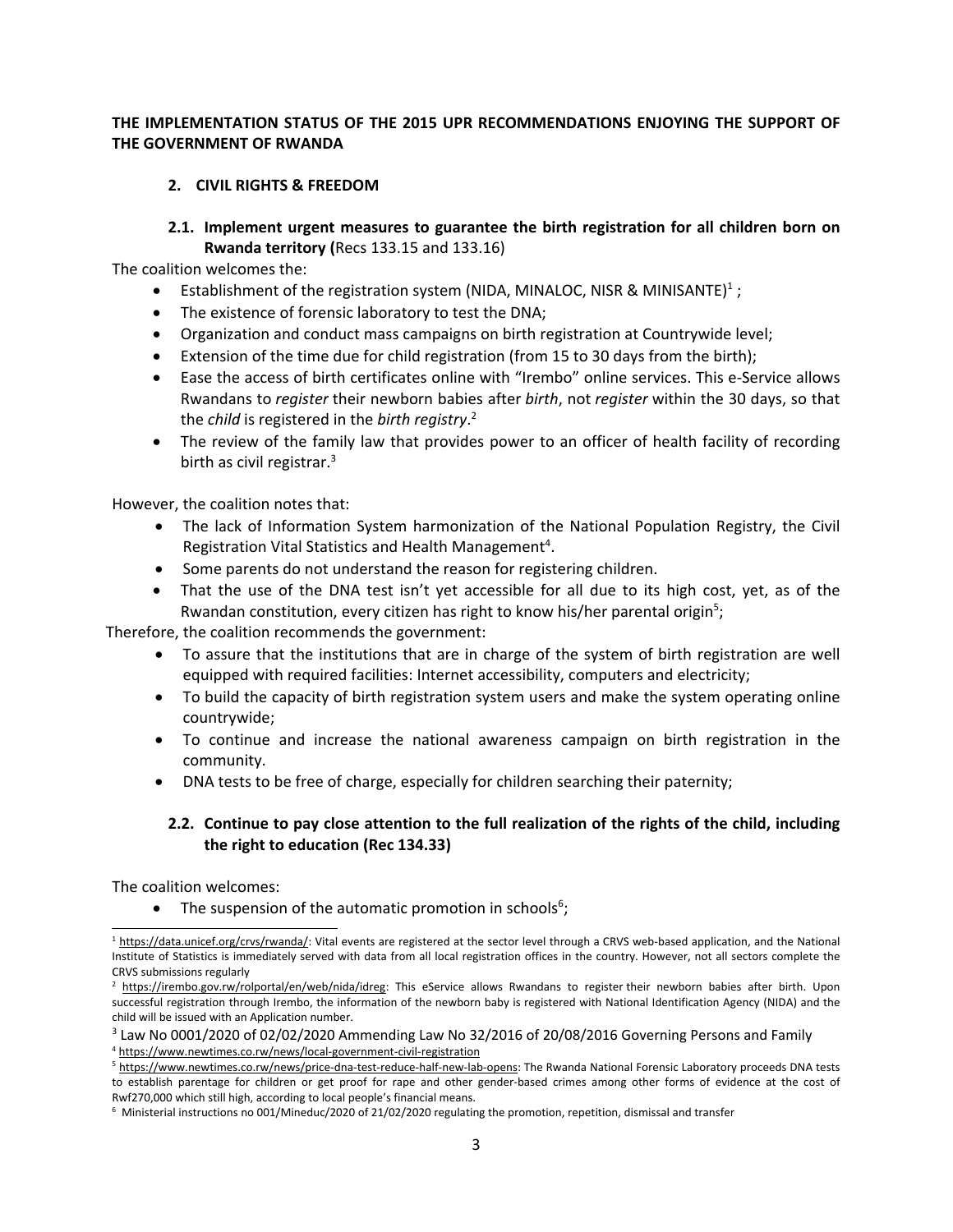# **THE IMPLEMENTATION STATUS OF THE 2015 UPR RECOMMENDATIONS ENJOYING THE SUPPORT OF THE GOVERNMENT OF RWANDA**

# **2. CIVIL RIGHTS & FREEDOM**

**2.1. Implement urgent measures to guarantee the birth registration for all children born on Rwanda territory (**Recs 133.15 and 133.16)

The coalition welcomes the:

- $\bullet$ • Establishment of the registration system (NIDA, MINALOC, NISR & MINISANTE)<sup>1</sup>;
- 0 The existence of forensic laboratory to test the DNA;
- Organization and conduct mass campaigns on birth registration at Countrywide level;
- $\bullet$ Extension of the time due for child registration (from 15 to 30 days from the birth);
- Ease the access of birth certificates online with "Irembo" online services. This e-Service allows Rwandans to *register* their newborn babies after *birth*, not *register* within the 30 days, so that the *child* is registered in the *birth registry*. 2
- 0 The review of the family law that provides power to an officer of health facility of recording birth as civil registrar. 3

However, the coalition notes that:

- The lack of Information System harmonization of the National Population Registry, the Civil Registration Vital Statistics and Health Management<sup>4</sup>.
- Some parents do not understand the reason for registering children.
- That the use of the DNA test isn'<sup>t</sup> yet accessible for all due to its high cost, yet, as of the Rwandan constitution, every citizen has right to know his/her parental origin<sup>5</sup>;

Therefore, the coalition recommends the government:

- To assure that the institutions that are in charge of the system of birth registration are well equipped with required facilities: Internet accessibility, computers and electricity;
- To build the capacity of birth registration system users and make the system operating online countrywide;
- To continue and increase the national awareness campaign on birth registration in the community.
- DNA tests to be free of charge, especially for children searching their paternity;

# **2.2. Continue to pay close attention to the full realization of the rights of the child, including the right to education (Rec 134.33)**

The coalition welcomes:

• The suspension of the automatic promotion in schools<sup>6</sup>;

<sup>&</sup>lt;sup>1</sup> <https://data.unicef.org/crvs/rwanda/>: Vital events are registered at the sector level through a CRVS web-based application, and the National Institute of Statistics is immediately served with data from all local registration offices in the country. However, not all sectors complete the CRVS submissions regularly

<sup>&</sup>lt;sup>2</sup> <https://irembo.gov.rw/rolportal/en/web/nida/idreg>: This eService allows Rwandans to register their newborn babies after birth. Upon successful registration through Irembo, the information of the newborn baby is registered with National Identification Agency (NIDA) and the child will be issued with an Application number.

<sup>&</sup>lt;sup>3</sup> Law No 0001/2020 of 02/02/2020 Ammending Law No 32/2016 of 20/08/2016 Governing Persons and Family

<sup>4</sup> <https://www.newtimes.co.rw/news/local-government-civil-registration>

<sup>5</sup> <https://www.newtimes.co.rw/news/price-dna-test-reduce-half-new-lab-opens>: The Rwanda National Forensic Laboratory proceeds DNA tests to establish parentage for children or get proof for rape and other gender-based crimes among other forms of evidence at the cost of Rwf270,000 which still high, according to local people'<sup>s</sup> financial means.

 $6$  Ministerial instructions no [001/Mineduc/2020](https://mineduc.gov.rw/fileadmin/Documents/Ministrial%20Order/Ministerial_Instructions_Regulating_Promotion_Repetition_Dismissal_and_Transfer_of_Pupils___Students.pdf) of 21/02/2020 regulating the promotion, repetition, dismissal and transfer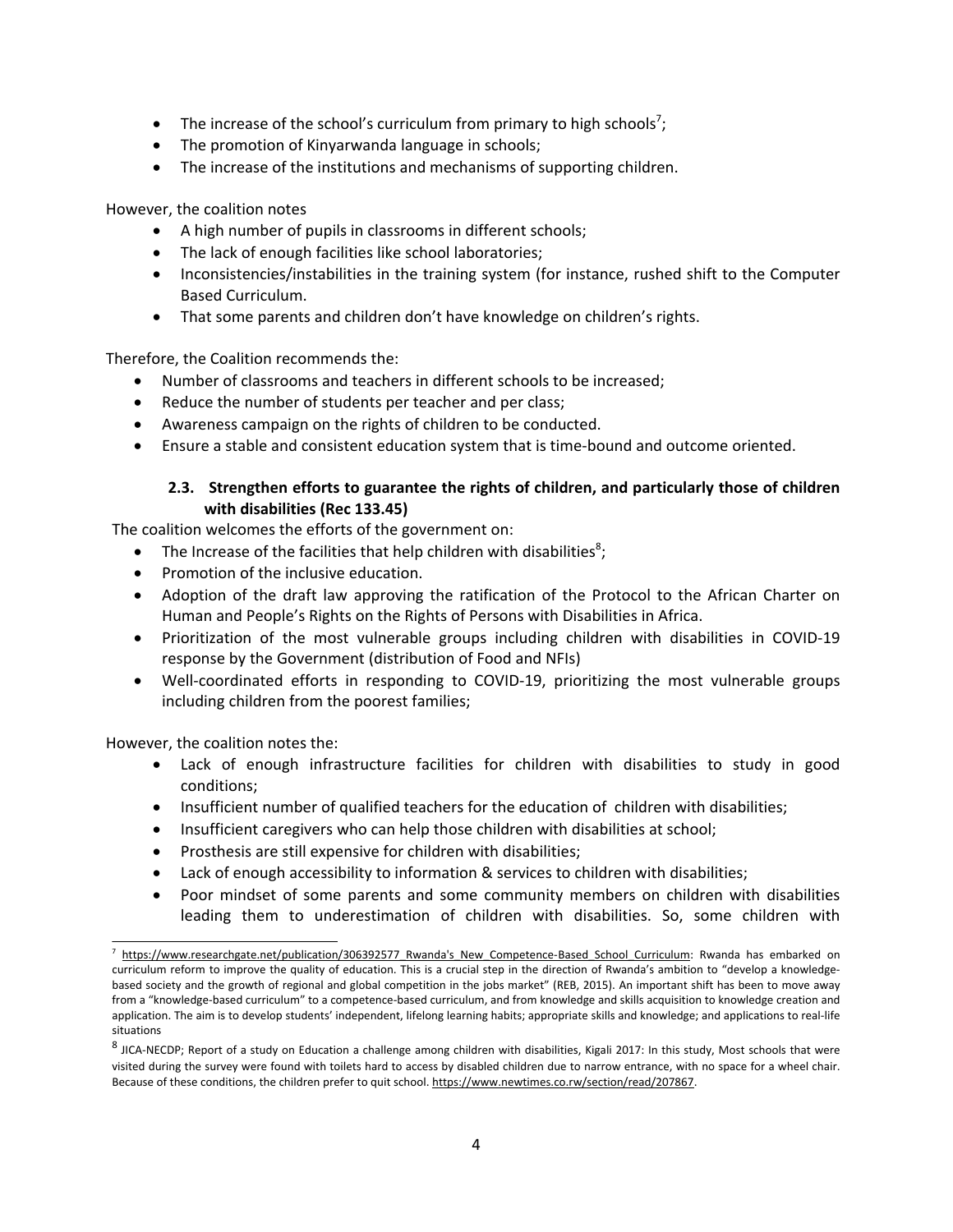- The increase of the school's curriculum from primary to high schools<sup>7</sup>;
- The promotion of Kinyarwanda language in schools;
- The increase of the institutions and mechanisms of supporting children.

However, the coalition notes

- 0 A high number of pupils in classrooms in different schools;
- 0 The lack of enough facilities like school laboratories;
- Inconsistencies/instabilities in the training system (for instance, rushed shift to the Computer Based Curriculum.
- That some parents and children don't have knowledge on children's rights.

Therefore, the Coalition recommends the:

- Number of classrooms and teachers in different schools to be increased;
- . Reduce the number of students per teacher and per class;
- Awareness campaign on the rights of children to be conducted.
- . Ensure <sup>a</sup> stable and consistent education system that is time-bound and outcome oriented.

# **2.3. Strengthen efforts to guarantee the rights of children, and particularly those of children with disabilities (Rec 133.45)**

The coalition welcomes the efforts of the government on:

- $\bullet$ • The Increase of the facilities that help children with disabilities<sup>8</sup>;
- $\bullet$  Promotion of the inclusive education.
- Adoption of the draft law approving the ratification of the Protocol to the African Charter on Human and People'<sup>s</sup> Rights on the Rights of Persons with Disabilities in Africa.
- $\bullet$  Prioritization of the most vulnerable groups including children with disabilities in COVID-19 response by the Government (distribution of Food and NFIs)
- Well-coordinated efforts in responding to COVID-19, prioritizing the most vulnerable groups including children from the poorest families;

However, the coalition notes the:

- Lack of enough infrastructure facilities for children with disabilities to study in good conditions;
- 0 Insufficient number of qualified teachers for the education of children with disabilities;
- 0 Insufficient caregivers who can help those children with disabilities at school;
- 0 Prosthesis are still expensive for children with disabilities;
- $\bullet$ Lack of enough accessibility to information & services to children with disabilities;
- $\bullet$  Poor mindset of some parents and some community members on children with disabilities leading them to underestimation of children with disabilities. So, some children with

<sup>&</sup>lt;sup>7</sup> https://www.researchgate.net/publication/306392577 Rwanda's New Competence-Based School Curriculum: Rwanda has embarked on curriculum reform to improve the quality of education. This is <sup>a</sup> crucial step in the direction of Rwanda'<sup>s</sup> ambition to "develop <sup>a</sup> knowledgebased society and the growth of regional and global competition in the jobs market" (REB, 2015). An important shift has been to move away from <sup>a</sup> "knowledge-based curriculum" to <sup>a</sup> competence-based curriculum, and from knowledge and skills acquisition to knowledge creation and application. The aim is to develop students' independent, lifelong learning habits; appropriate skills and knowledge; and applications to real-life situations

<sup>&</sup>lt;sup>8</sup> JICA-NECDP; Report of a study on Education a challenge among children with disabilities, Kigali 2017: In this study, Most schools that were visited during the survey were found with toilets hard to access by disabled children due to narrow entrance, with no space for <sup>a</sup> wheel chair. Because of these conditions, the children prefer to quit school. <https://www.newtimes.co.rw/section/read/207867>.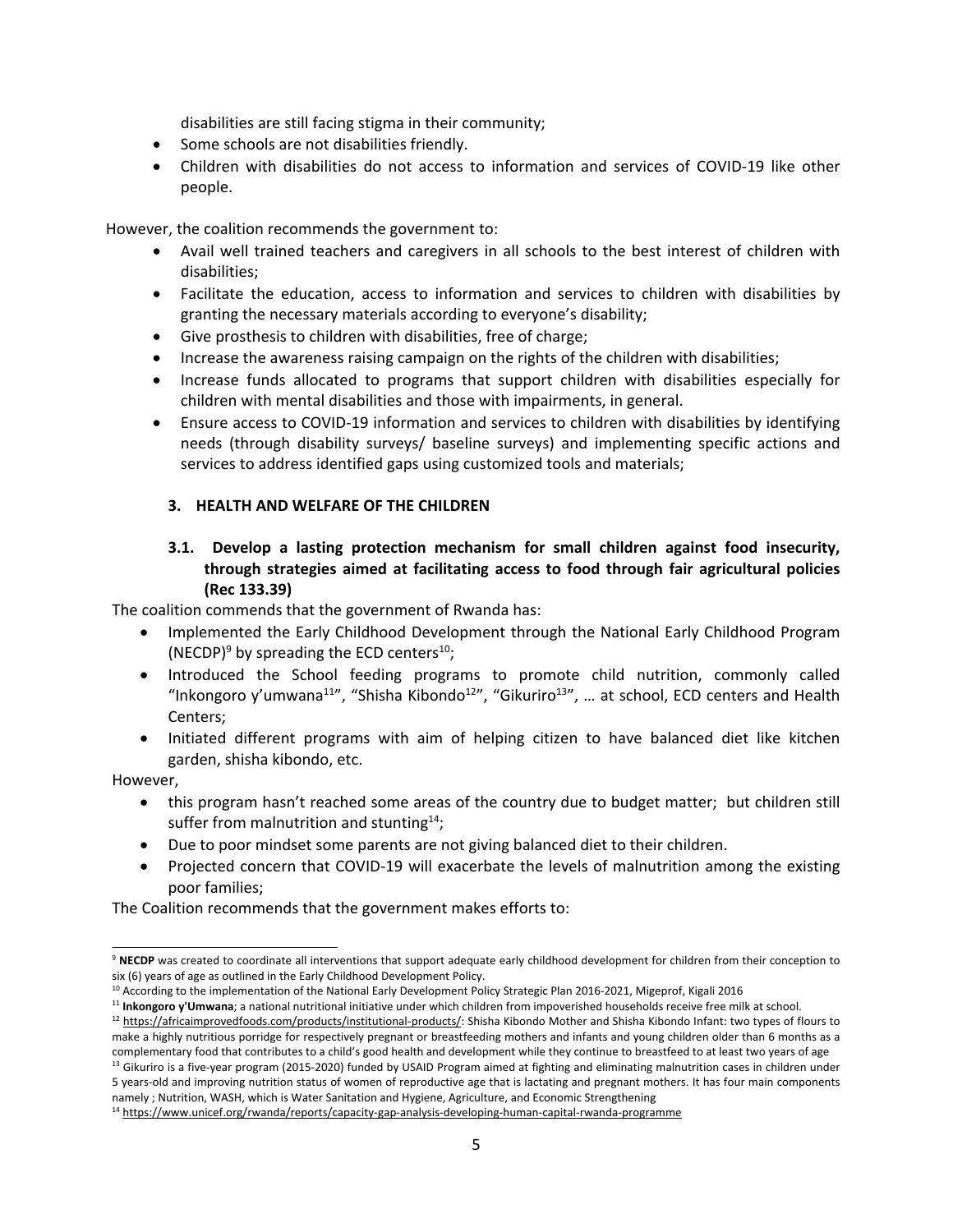disabilities are still facing stigma in their community;

- Some schools are not disabilities friendly.
- 0 Children with disabilities do not access to information and services of COVID-19 like other people.

However, the coalition recommends the government to:

- Avail well trained teachers and caregivers in all schools to the best interest of children with disabilities;
- Facilitate the education, access to information and services to children with disabilities by granting the necessary materials according to everyone'<sup>s</sup> disability;
- Give prosthesis to children with disabilities, free of charge;
- 0 Increase the awareness raising campaign on the rights of the children with disabilities;
- $\bullet$  Increase funds allocated to programs that support children with disabilities especially for children with mental disabilities and those with impairments, in general.
- 0 Ensure access to COVID-19 information and services to children with disabilities by identifying needs (through disability surveys/ baseline surveys) and implementing specific actions and services to address identified gaps using customized tools and materials;

# **3. HEALTH AND WELFARE OF THE CHILDREN**

**3.1. Develop <sup>a</sup> lasting protection mechanism for small children against food insecurity, through strategies aimed at facilitating access to food through fair agricultural policies (Rec 133.39)**

The coalition commends that the government of Rwanda has:

- $\bullet$  Implemented the Early Childhood Development through the National Early Childhood Program (NECDP)<sup>9</sup> by spreading the ECD centers<sup>10</sup>;
- Introduced the School feeding programs to promote child nutrition, commonly called "Inkongoro y'umwana $^{11}$ ", "Shisha Kibondo $^{12}$ ", "Gikuriro $^{13}$ ", ... at school, ECD centers and Health Centers;
- Initiated different programs with aim of helping citizen to have balanced diet like kitchen garden, shisha kibondo, etc.

However,

- 0 this program hasn'<sup>t</sup> reached some areas of the country due to budget matter; but children still suffer from malnutrition and stunting $^{14}$ ;
- Due to poor mindset some parents are not giving balanced diet to their children.
- 0 Projected concern that COVID-19 will exacerbate the levels of malnutrition among the existing poor families;

The Coalition recommends that the government makes efforts to:

5 years-old and improving nutrition status of women of reproductive age that is lactating and pregnant mothers. It has four main components namely ; Nutrition, WASH, which is Water Sanitation and Hygiene, Agriculture, and Economic Strengthening

<sup>&</sup>lt;sup>9</sup> NECDP was created to coordinate all interventions that support adequate early childhood development for children from their conception to six (6) years of age as outlined in the Early Childhood Development Policy.

<sup>&</sup>lt;sup>10</sup> According to the implementation of the National Early Development Policy Strategic Plan 2016-2021, Migeprof, Kigali 2016

<sup>11</sup> **Inkongoro y'Umwana**; <sup>a</sup> national nutritional initiative under which children from impoverished households receive free milk at school.

<sup>&</sup>lt;sup>12</sup> <https://africaimprovedfoods.com/products/institutional-products/>: Shisha Kibondo Mother and Shisha Kibondo Infant: two types of flours to make <sup>a</sup> highly nutritious porridge for respectively pregnant or breastfeeding mothers and infants and young children older than 6 months as <sup>a</sup> complementary food that contributes to <sup>a</sup> child'<sup>s</sup> good health and development while they continue to breastfeed to at least two years of age <sup>13</sup> Gikuriro is a five-year program (2015-2020) funded by USAID Program aimed at fighting and eliminating malnutrition cases in children under

<sup>14</sup> <https://www.unicef.org/rwanda/reports/capacity-gap-analysis-developing-human-capital-rwanda-programme>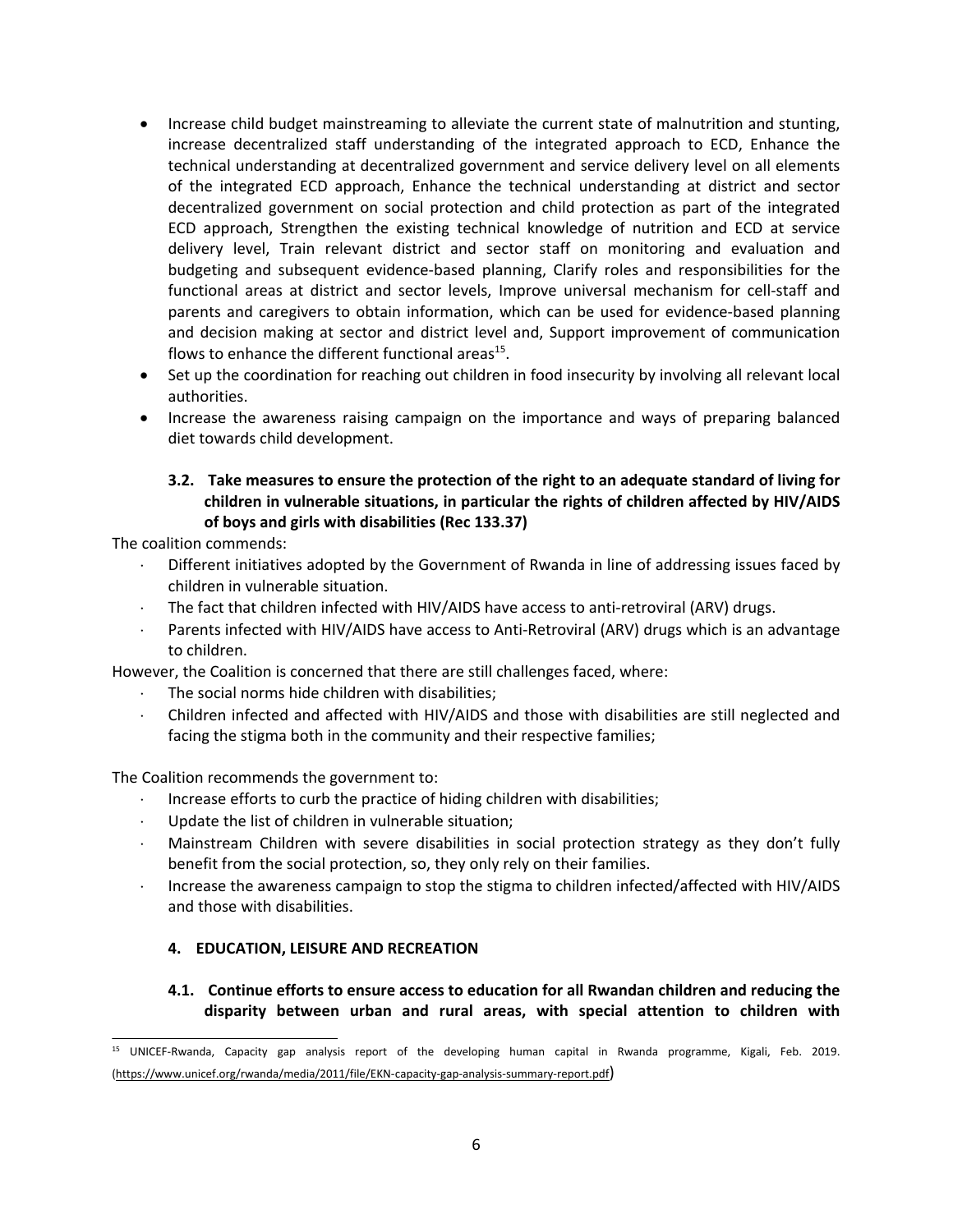- Increase child budget mainstreaming to alleviate the current state of malnutrition and stunting, increase decentralized staff understanding of the integrated approach to ECD, Enhance the technical understanding at decentralized government and service delivery level on all elements of the integrated ECD approach, Enhance the technical understanding at district and sector decentralized government on social protection and child protection as part of the integrated ECD approach, Strengthen the existing technical knowledge of nutrition and ECD at service delivery level, Train relevant district and sector staff on monitoring and evaluation and budgeting and subsequent evidence-based planning, Clarify roles and responsibilities for the functional areas at district and sector levels, Improve universal mechanism for cell-staff and parents and caregivers to obtain information, which can be used for evidence-based planning and decision making at sector and district level and, Support improvement of communication flows to enhance the different functional areas<sup>15</sup>.
- Set up the coordination for reaching out children in food insecurity by involving all relevant local authorities.
- Increase the awareness raising campaign on the importance and ways of preparing balanced diet towards child development.

# **3.2. Take measures to ensure the protection of the right to an adequate standard of living for children in vulnerable situations, in particular the rights of children affected by HIV/AIDS of boys and girls with disabilities (Rec 133.37)**

The coalition commends:

- $\ddot{\phantom{a}}$  Different initiatives adopted by the Government of Rwanda in line of addressing issues faced by children in vulnerable situation.
- The fact that children infected with HIV/AIDS have access to anti-retroviral (ARV) drugs.
- Parents infected with HIV/AIDS have access to Anti-Retroviral (ARV) drugs which is an advantage to children.

However, the Coalition is concerned that there are still challenges faced, where:

- The social norms hide children with disabilities;
- Children infected and affected with HIV/AIDS and those with disabilities are still neglected and facing the stigma both in the community and their respective families;

The Coalition recommends the government to:

- $\mathcal{L}^{\pm}$ Increase efforts to curb the practice of hiding children with disabilities;
- Update the list of children in vulnerable situation;
- Mainstream Children with severe disabilities in social protection strategy as they don'<sup>t</sup> fully benefit from the social protection, so, they only rely on their families.
- Increase the awareness campaign to stop the stigma to children infected/affected with HIV/AIDS and those with disabilities.

# **4. EDUCATION, LEISURE AND RECREATION**

**4.1. Continue efforts to ensure access to education for all Rwandan children and reducing the disparity between urban and rural areas, with special attention to children with**

<sup>&</sup>lt;sup>15</sup> UNICEF-Rwanda, Capacity gap analysis report of the developing human capital in Rwanda programme, Kigali, Feb. 2019. (<https://www.unicef.org/rwanda/media/2011/file/EKN-capacity-gap-analysis-summary-report.pdf>)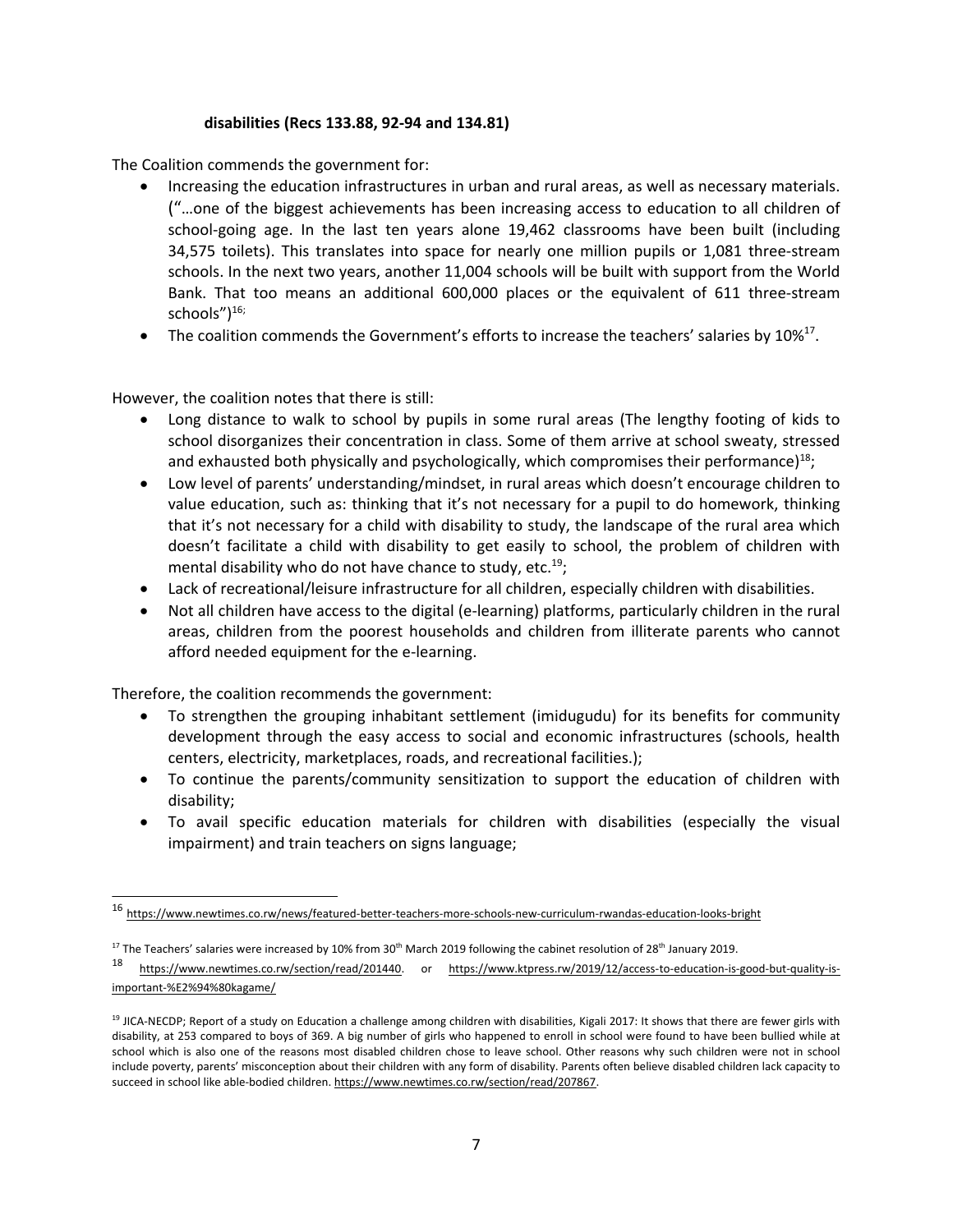#### **disabilities (Recs 133.88, 92-94 and 134.81)**

The Coalition commends the government for:

- Increasing the education infrastructures in urban and rural areas, as well as necessary materials. ("…one of the biggest achievements has been increasing access to education to all children of school-going age. In the last ten years alone 19,462 classrooms have been built (including 34,575 toilets). This translates into space for nearly one million pupils or 1,081 three-stream schools. In the next two years, another 11,004 schools will be built with support from the World Bank. That too means an additional 600,000 places or the equivalent of 611 three-stream schools")<sup>16;</sup>
- c • The coalition commends the Government's efforts to increase the teachers' salaries by  $10\%^{17}$ .

However, the coalition notes that there is still:

- $\bullet$  Long distance to walk to school by pupils in some rural areas (The lengthy footing of kids to school disorganizes their concentration in class. Some of them arrive at school sweaty, stressed and exhausted both physically and psychologically, which compromises their performance)<sup>18</sup>;
- Low level of parents' understanding/mindset, in rural areas which doesn'<sup>t</sup> encourage children to value education, such as: thinking that it'<sup>s</sup> not necessary for <sup>a</sup> pupil to do homework, thinking that it'<sup>s</sup> not necessary for <sup>a</sup> child with disability to study, the landscape of the rural area which doesn'<sup>t</sup> facilitate <sup>a</sup> child with disability to get easily to school, the problem of children with mental disability who do not have chance to study, etc.<sup>19</sup>;
- Lack of recreational/leisure infrastructure for all children, especially children with disabilities.
- Not all children have access to the digital (e-learning) platforms, particularly children in the rural areas, children from the poorest households and children from illiterate parents who cannot afford needed equipment for the e-learning.

Therefore, the coalition recommends the government:

- $\bullet$  To strengthen the grouping inhabitant settlement (imidugudu) for its benefits for community development through the easy access to social and economic infrastructures (schools, health centers, electricity, marketplaces, roads, and recreational facilities.);
- To continue the parents/community sensitization to support the education of children with disability;
- To avail specific education materials for children with disabilities (especially the visual impairment) and train teachers on signs language;

<sup>&</sup>lt;sup>16</sup> <https://www.newtimes.co.rw/news/featured-better-teachers-more-schools-new-curriculum-rwandas-education-looks-bright>

<sup>&</sup>lt;sup>17</sup> The Teachers' salaries were increased by 10% from 30<sup>th</sup> March 2019 following the cabinet resolution of 28<sup>th</sup> January 2019.

<sup>18</sup> <https://www.newtimes.co.rw/section/read/201440>. or [https://www.ktpress.rw/2019/12/access-to-education-is-good-but-quality-is](https://www.ktpress.rw/2019/12/access-to-education-is-good-but-quality-is-important-%E2%94%80kagame/)[important-%E2%94%80kagame/](https://www.ktpress.rw/2019/12/access-to-education-is-good-but-quality-is-important-%E2%94%80kagame/)

<sup>19</sup> JICA-NECDP; Report of <sup>a</sup> study on Education <sup>a</sup> challenge among children with disabilities, Kigali 2017: It shows that there are fewer girls with disability, at 253 compared to boys of 369. A big number of girls who happened to enroll in school were found to have been bullied while at school which is also one of the reasons most disabled children chose to leave school. Other reasons why such children were not in school include poverty, parents' misconception about their children with any form of disability. Parents often believe disabled children lack capacity to succeed in school like able-bodied children. <https://www.newtimes.co.rw/section/read/207867>.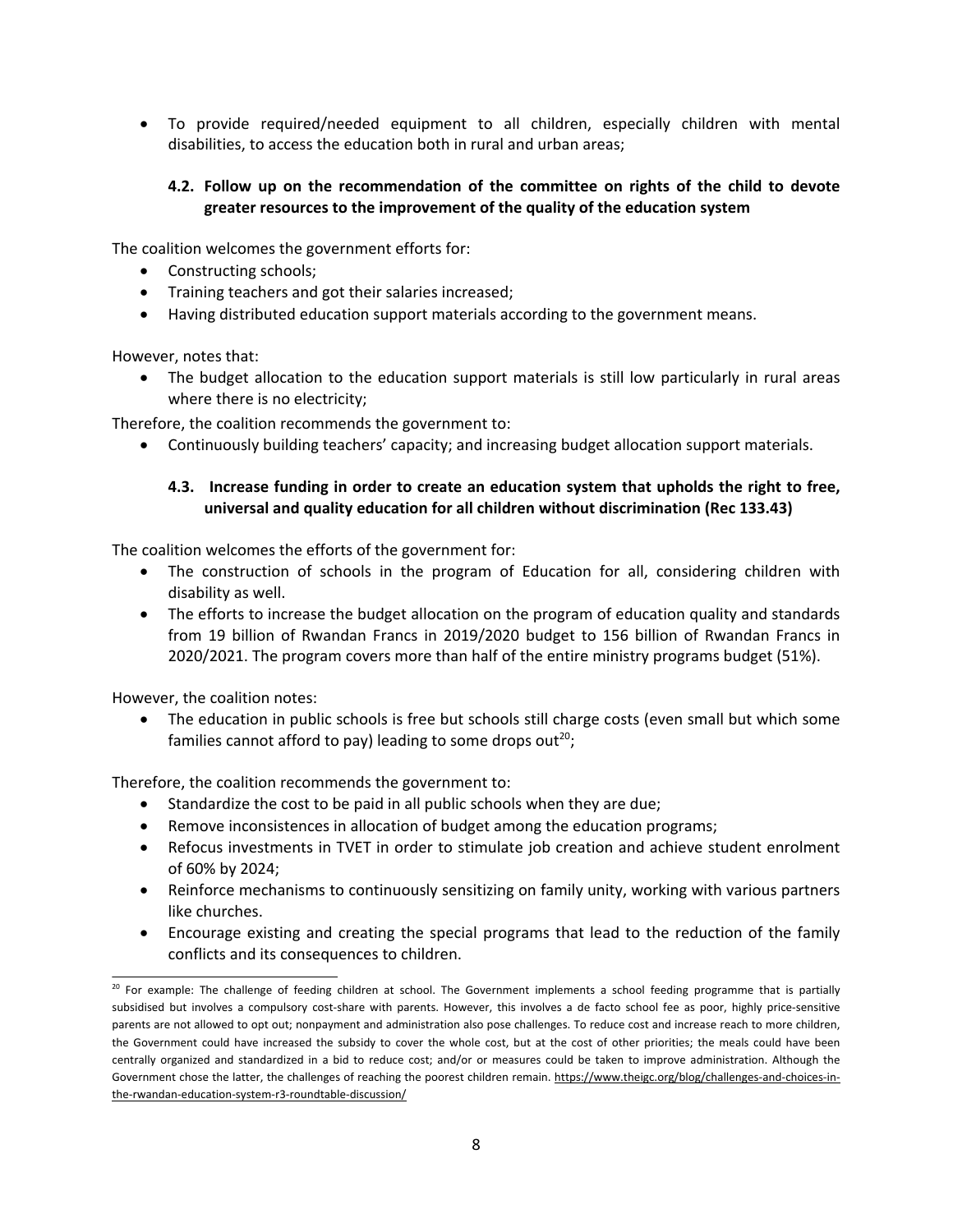To provide required/needed equipment to all children, especially children with mental disabilities, to access the education both in rural and urban areas;

# **4.2. Follow up on the recommendation of the committee on rights of the child to devote greater resources to the improvement of the quality of the education system**

The coalition welcomes the government efforts for:

- Constructing schools;
- Training teachers and got their salaries increased;
- Having distributed education support materials according to the government means.

However, notes that:

 The budget allocation to the education support materials is still low particularly in rural areas where there is no electricity;

Therefore, the coalition recommends the government to:

Continuously building teachers' capacity; and increasing budget allocation support materials.

# **4.3. Increase funding in order to create an education system that upholds the right to free, universal and quality education for all children without discrimination (Rec 133.43)**

The coalition welcomes the efforts of the government for:

- $\bullet$  The construction of schools in the program of Education for all, considering children with disability as well.
- The efforts to increase the budget allocation on the program of education quality and standards from 19 billion of Rwandan Francs in 2019/2020 budget to 156 billion of Rwandan Francs in 2020/2021. The program covers more than half of the entire ministry programs budget (51%).

However, the coalition notes:

 $\bullet$  The education in public schools is free but schools still charge costs (even small but which some families cannot afford to pay) leading to some drops out<sup>20</sup>;

Therefore, the coalition recommends the government to:

- Standardize the cost to be paid in all public schools when they are due;
- Remove inconsistences in allocation of budget among the education programs;
- Refocus investments in TVET in order to stimulate job creation and achieve student enrolment of 60% by 2024;
- Reinforce mechanisms to continuously sensitizing on family unity, working with various partners like churches.
- Encourage existing and creating the special programs that lead to the reduction of the family conflicts and its consequences to children.

<sup>&</sup>lt;sup>20</sup> For example: The challenge of feeding children at school. The Government implements a school feeding programme that is partially subsidised but involves <sup>a</sup> compulsory cost-share with parents. However, this involves <sup>a</sup> de facto school fee as poor, highly price-sensitive parents are not allowed to opt out; nonpayment and administration also pose challenges. To reduce cost and increase reach to more children, the Government could have increased the subsidy to cover the whole cost, but at the cost of other priorities; the meals could have been centrally organized and standardized in <sup>a</sup> bid to reduce cost; and/or or measures could be taken to improve administration. Although the Government chose the latter, the challenges of reaching the poorest children remain. [https://www.theigc.org/blog/challenges-and-choices-in](https://www.theigc.org/blog/challenges-and-choices-in-the-rwandan-education-system-r3-roundtable-discussion/)[the-rwandan-education-system-r3-roundtable-discussion/](https://www.theigc.org/blog/challenges-and-choices-in-the-rwandan-education-system-r3-roundtable-discussion/)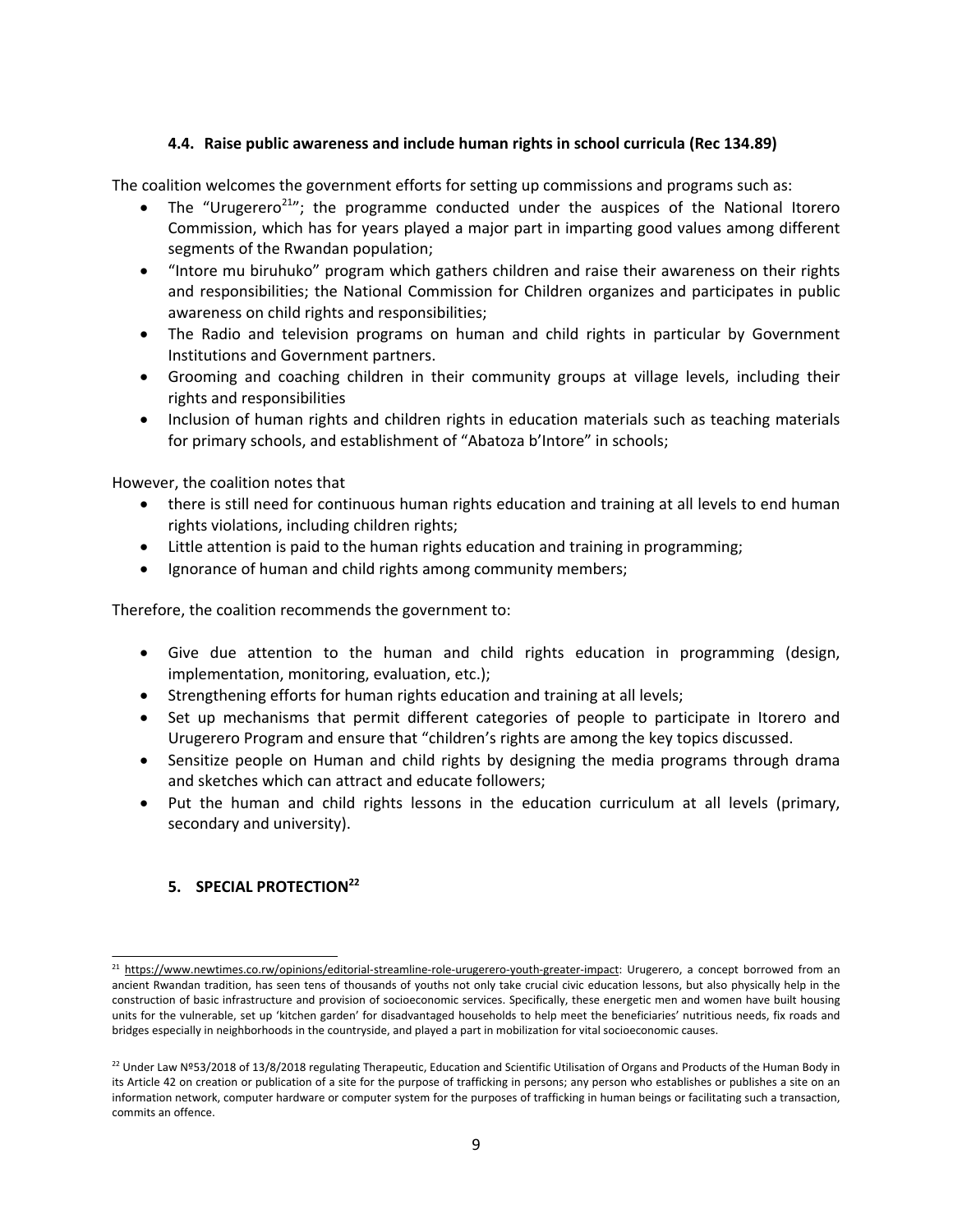#### **4.4. Raise public awareness and include human rights in school curricula (Rec 134.89)**

The coalition welcomes the government efforts for setting up commissions and programs such as:

- e • The "Urugerero<sup>21</sup>"; the programme conducted under the auspices of the National Itorero Commission, which has for years played <sup>a</sup> major part in imparting good values among different segments of the Rwandan population;
- "Intore mu biruhuko" program which gathers children and raise their awareness on their rights and responsibilities; the National Commission for Children organizes and participates in public awareness on child rights and responsibilities;
- The Radio and television programs on human and child rights in particular by Government Institutions and Government partners.
- Grooming and coaching children in their community groups at village levels, including their rights and responsibilities
- Inclusion of human rights and children rights in education materials such as teaching materials for primary schools, and establishment of "Abatoza b'Intore" in schools;

However, the coalition notes that

- e there is still need for continuous human rights education and training at all levels to end human rights violations, including children rights;
- Little attention is paid to the human rights education and training in programming;
- 0 Ignorance of human and child rights among community members;

Therefore, the coalition recommends the government to:

- Give due attention to the human and child rights education in programming (design, implementation, monitoring, evaluation, etc.);
- **•** Strengthening efforts for human rights education and training at all levels;
- Set up mechanisms that permit different categories of people to participate in Itorero and Urugerero Program and ensure that "children'<sup>s</sup> rights are among the key topics discussed.
- Sensitize people on Human and child rights by designing the media programs through drama and sketches which can attract and educate followers;
- Put the human and child rights lessons in the education curriculum at all levels (primary, secondary and university).

# **5. SPECIAL PROTECTION<sup>22</sup>**

<sup>&</sup>lt;sup>21</sup> <https://www.newtimes.co.rw/opinions/editorial-streamline-role-urugerero-youth-greater-impact>: Urugerero, a concept borrowed from an ancient Rwandan tradition, has seen tens of thousands of youths not only take crucial civic education lessons, but also physically help in the construction of basic infrastructure and provision of socioeconomic services. Specifically, these energetic men and women have built housing units for the vulnerable, set up 'kitchen garden' for disadvantaged households to help meet the beneficiaries' nutritious needs, fix roads and bridges especially in neighborhoods in the countryside, and played <sup>a</sup> part in mobilization for vital socioeconomic causes.

 $^{22}$  Under Law Nº53/2018 of 13/8/2018 regulating Therapeutic, Education and Scientific Utilisation of Organs and Products of the Human Body in its Article 42 on creation or publication of <sup>a</sup> site for the purpose of trafficking in persons; any person who establishes or publishes <sup>a</sup> site on an information network, computer hardware or computer system for the purposes of trafficking in human beings or facilitating such <sup>a</sup> transaction, commits an offence.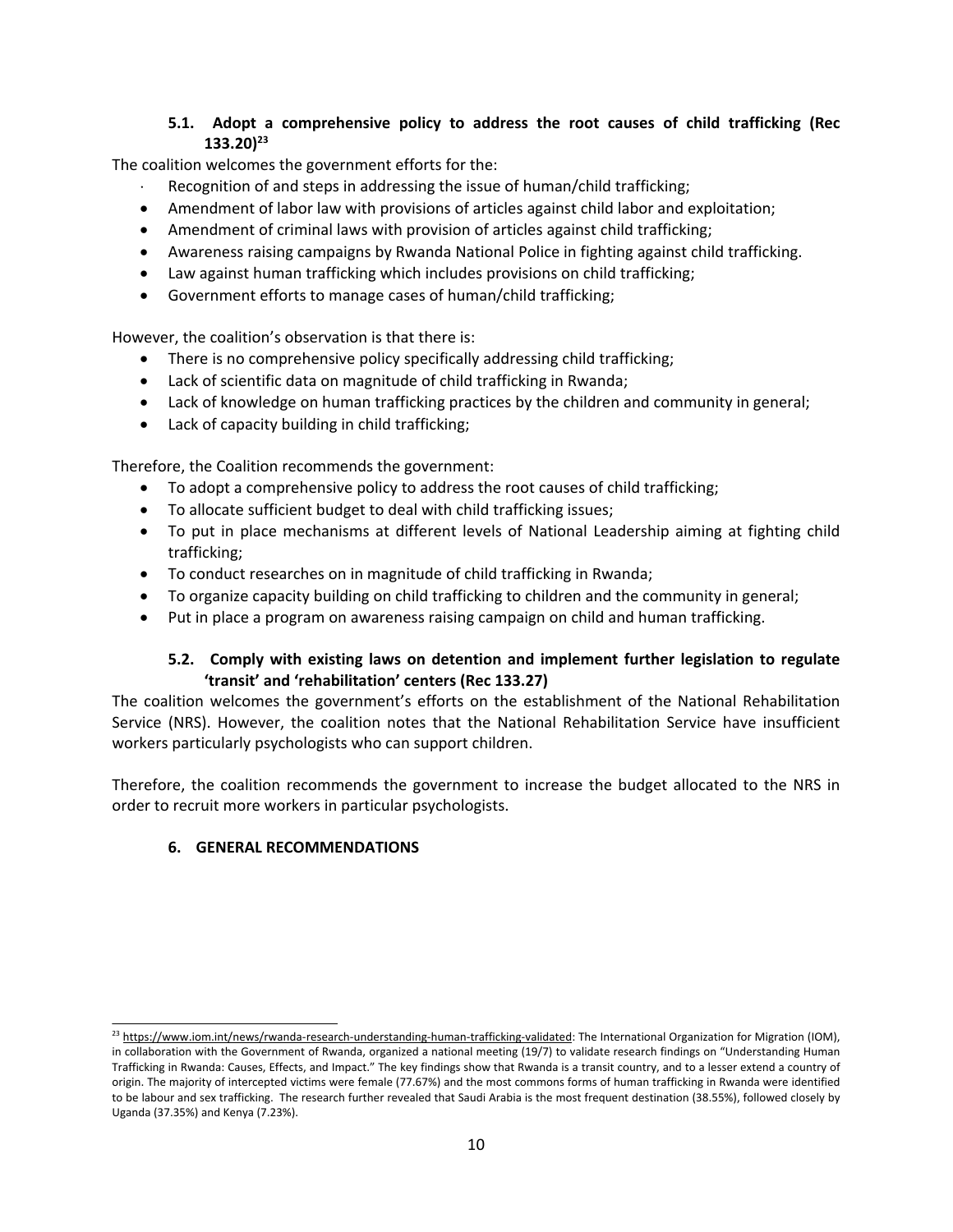# **5.1. Adopt <sup>a</sup> comprehensive policy to address the root causes of child trafficking (Rec 133.20) 23**

The coalition welcomes the government efforts for the:

- Recognition of and steps in addressing the issue of human/child trafficking;
- Amendment of labor law with provisions of articles against child labor and exploitation;
- Amendment of criminal laws with provision of articles against child trafficking;
- Awareness raising campaigns by Rwanda National Police in fighting against child trafficking.
- Law against human trafficking which includes provisions on child trafficking;
- Government efforts to manage cases of human/child trafficking;

However, the coalition'<sup>s</sup> observation is that there is:

- e There is no comprehensive policy specifically addressing child trafficking;
- Lack of scientific data on magnitude of child trafficking in Rwanda;
- Lack of knowledge on human trafficking practices by the children and community in general;
- Lack of capacity building in child trafficking;

Therefore, the Coalition recommends the government:

- To adopt a comprehensive policy to address the root causes of child trafficking;
- To allocate sufficient budget to deal with child trafficking issues;
- To put in place mechanisms at different levels of National Leadership aiming at fighting child trafficking;
- To conduct researches on in magnitude of child trafficking in Rwanda;
- To organize capacity building on child trafficking to children and the community in general;
- c Put in place <sup>a</sup> program on awareness raising campaign on child and human trafficking.

# **5.2. Comply with existing laws on detention and implement further legislation to regulate 'transit' and 'rehabilitation' centers (Rec 133.27)**

The coalition welcomes the government'<sup>s</sup> efforts on the establishment of the National Rehabilitation Service (NRS). However, the coalition notes that the National Rehabilitation Service have insufficient workers particularly psychologists who can support children.

Therefore, the coalition recommends the government to increase the budget allocated to the NRS in order to recruit more workers in particular psychologists.

#### **6. GENERAL RECOMMENDATIONS**

<sup>&</sup>lt;sup>23</sup> <https://www.iom.int/news/rwanda-research-understanding-human-trafficking-validated>: The International Organization for Migration (IOM), in collaboration with the Government of Rwanda, organized <sup>a</sup> national meeting (19/7) to validate research findings on "Understanding Human Trafficking in Rwanda: Causes, Effects, and Impact." The key findings show that Rwanda is <sup>a</sup> transit country, and to <sup>a</sup> lesser extend <sup>a</sup> country of origin. The majority of intercepted victims were female (77.67%) and the most commons forms of human trafficking in Rwanda were identified to be labour and sex trafficking. The research further revealed that Saudi Arabia is the most frequent destination (38.55%), followed closely by Uganda (37.35%) and Kenya (7.23%).